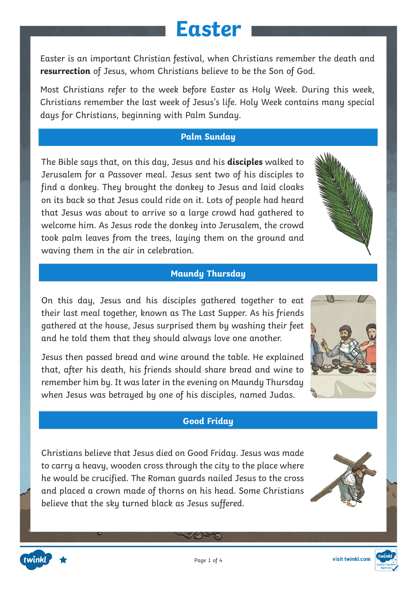Easter is an important Christian festival, when Christians remember the death and **resurrection** of Jesus, whom Christians believe to be the Son of God.

Most Christians refer to the week before Easter as Holy Week. During this week, Christians remember the last week of Jesus's life. Holy Week contains many special days for Christians, beginning with Palm Sunday.

#### **Palm Sunday**

The Bible says that, on this day, Jesus and his **disciples** walked to Jerusalem for a Passover meal. Jesus sent two of his disciples to find a donkey. They brought the donkey to Jesus and laid cloaks on its back so that Jesus could ride on it. Lots of people had heard that Jesus was about to arrive so a large crowd had gathered to welcome him. As Jesus rode the donkey into Jerusalem, the crowd took palm leaves from the trees, laying them on the ground and waving them in the air in celebration.

#### **Maundy Thursday**

On this day, Jesus and his disciples gathered together to eat their last meal together, known as The Last Supper. As his friends gathered at the house, Jesus surprised them by washing their feet and he told them that they should always love one another.

Jesus then passed bread and wine around the table. He explained that, after his death, his friends should share bread and wine to remember him by. It was later in the evening on Maundy Thursday when Jesus was betrayed by one of his disciples, named Judas.

#### **Good Friday**

Christians believe that Jesus died on Good Friday. Jesus was made to carry a heavy, wooden cross through the city to the place where he would be crucified. The Roman guards nailed Jesus to the cross and placed a crown made of thorns on his head. Some Christians believe that the sky turned black as Jesus suffered.





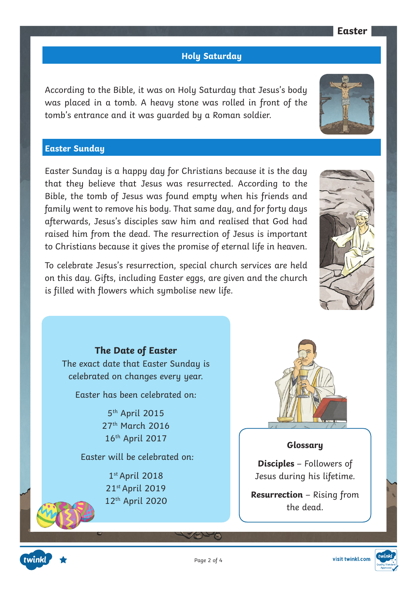#### **Holy Saturday**

According to the Bible, it was on Holy Saturday that Jesus's body was placed in a tomb. A heavy stone was rolled in front of the tomb's entrance and it was guarded by a Roman soldier.

#### **Easter Sunday**

Easter Sunday is a happy day for Christians because it is the day that they believe that Jesus was resurrected. According to the Bible, the tomb of Jesus was found empty when his friends and family went to remove his body. That same day, and for forty days afterwards, Jesus's disciples saw him and realised that God had raised him from the dead. The resurrection of Jesus is important to Christians because it gives the promise of eternal life in heaven.

To celebrate Jesus's resurrection, special church services are held on this day. Gifts, including Easter eggs, are given and the church is filled with flowers which symbolise new life.

**The Date of Easter** The exact date that Easter Sunday is celebrated on changes every year.

Easter has been celebrated on:

5th April 2015 27th March 2016 16th April 2017

Easter will be celebrated on:

1st April 2018 21st April 2019 12th April 2020



#### **Glossary**

**Disciples** – Followers of Jesus during his lifetime.

**Resurrection** – Rising from the dead.





Page 2 of 4

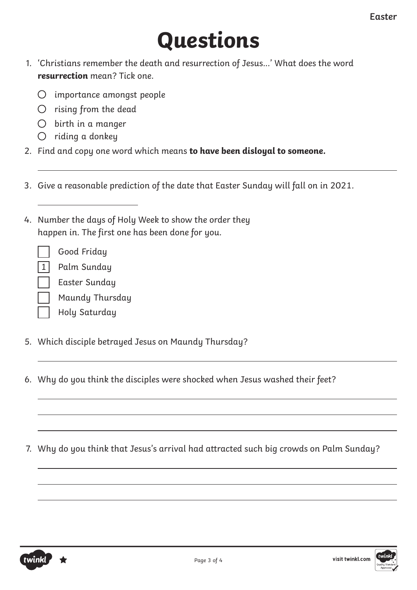# **Questions**

- 1. 'Christians remember the death and resurrection of Jesus...' What does the word **resurrection** mean? Tick one.
	- $\bigcirc$  importance amongst people
	- $O$  rising from the dead
	- $O$  birth in a manger
	- $O$  riding a donkey
- 2. Find and copy one word which means **to have been disloyal to someone.**
- 3. Give a reasonable prediction of the date that Easter Sunday will fall on in 2021.
- 4. Number the days of Holy Week to show the order they happen in. The first one has been done for you.

Good Friday

 $\overline{a}$ 

- 1 Palm Sunday
	- Easter Sunday
	- Maundy Thursday
	- Holy Saturday
- 5. Which disciple betrayed Jesus on Maundy Thursday?
- 6. Why do you think the disciples were shocked when Jesus washed their feet?
- 7. Why do you think that Jesus's arrival had attracted such big crowds on Palm Sunday?

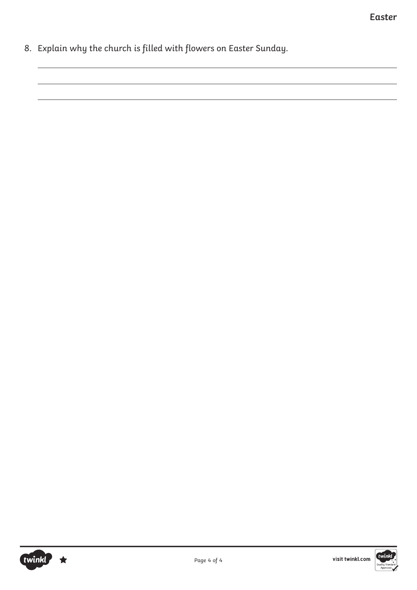8. Explain why the church is filled with flowers on Easter Sunday.

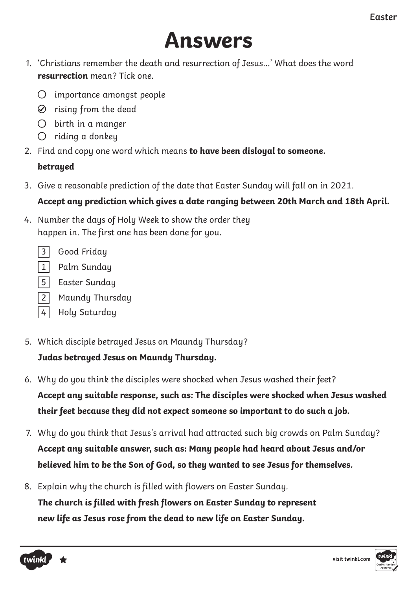## **Answers**

- 1. 'Christians remember the death and resurrection of Jesus...' What does the word **resurrection** mean? Tick one.
	- $\bigcirc$  importance amongst people
	- $\oslash$  rising from the dead
	- $O$  birth in a manger
	- $O$  riding a donkey
- 2. Find and copy one word which means **to have been disloyal to someone.**

#### **betrayed**

3. Give a reasonable prediction of the date that Easter Sunday will fall on in 2021.

#### **Accept any prediction which gives a date ranging between 20th March and 18th April.**

- 4. Number the days of Holy Week to show the order they happen in. The first one has been done for you.
	- 3 Good Friday
	- 1 Palm Sunday
	- 5 Easter Sunday
	- 2 Maundy Thursday
	- 4 Holy Saturday
- 5. Which disciple betrayed Jesus on Maundy Thursday? **Judas betrayed Jesus on Maundy Thursday.**
- 6. Why do you think the disciples were shocked when Jesus washed their feet? **Accept any suitable response, such as: The disciples were shocked when Jesus washed their feet because they did not expect someone so important to do such a job.**
- 7. Why do you think that Jesus's arrival had attracted such big crowds on Palm Sunday? **Accept any suitable answer, such as: Many people had heard about Jesus and/or believed him to be the Son of God, so they wanted to see Jesus for themselves.**
- 8. Explain why the church is filled with flowers on Easter Sunday. **The church is filled with fresh flowers on Easter Sunday to represent new life as Jesus rose from the dead to new life on Easter Sunday.**



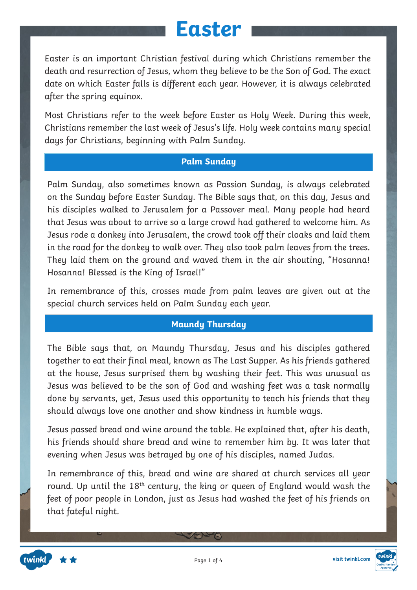Easter is an important Christian festival during which Christians remember the death and resurrection of Jesus, whom they believe to be the Son of God. The exact date on which Easter falls is different each year. However, it is always celebrated after the spring equinox.

Most Christians refer to the week before Easter as Holy Week. During this week, Christians remember the last week of Jesus's life. Holy week contains many special days for Christians, beginning with Palm Sunday.

#### **Palm Sunday**

Palm Sunday, also sometimes known as Passion Sunday, is always celebrated on the Sunday before Easter Sunday. The Bible says that, on this day, Jesus and his disciples walked to Jerusalem for a Passover meal. Many people had heard that Jesus was about to arrive so a large crowd had gathered to welcome him. As Jesus rode a donkey into Jerusalem, the crowd took off their cloaks and laid them in the road for the donkey to walk over. They also took palm leaves from the trees. They laid them on the ground and waved them in the air shouting, "Hosanna! Hosanna! Blessed is the King of Israel!"

In remembrance of this, crosses made from palm leaves are given out at the special church services held on Palm Sunday each year.

#### **Maundy Thursday**

The Bible says that, on Maundy Thursday, Jesus and his disciples gathered together to eat their final meal, known as The Last Supper. As his friends gathered at the house, Jesus surprised them by washing their feet. This was unusual as Jesus was believed to be the son of God and washing feet was a task normally done by servants, yet, Jesus used this opportunity to teach his friends that they should always love one another and show kindness in humble ways.

Jesus passed bread and wine around the table. He explained that, after his death, his friends should share bread and wine to remember him by. It was later that evening when Jesus was betrayed by one of his disciples, named Judas.

In remembrance of this, bread and wine are shared at church services all year round. Up until the  $18<sup>th</sup>$  century, the king or queen of England would wash the feet of poor people in London, just as Jesus had washed the feet of his friends on that fateful night.

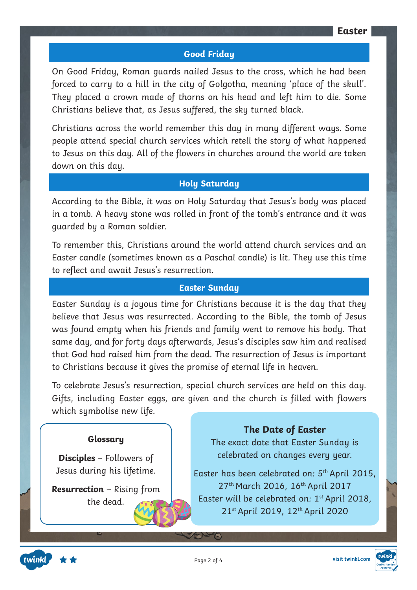#### **Good Friday**

On Good Friday, Roman guards nailed Jesus to the cross, which he had been forced to carry to a hill in the city of Golgotha, meaning 'place of the skull'. They placed a crown made of thorns on his head and left him to die. Some Christians believe that, as Jesus suffered, the sky turned black.

Christians across the world remember this day in many different ways. Some people attend special church services which retell the story of what happened to Jesus on this day. All of the flowers in churches around the world are taken down on this day.

#### **Holy Saturday**

According to the Bible, it was on Holy Saturday that Jesus's body was placed in a tomb. A heavy stone was rolled in front of the tomb's entrance and it was guarded by a Roman soldier.

To remember this, Christians around the world attend church services and an Easter candle (sometimes known as a Paschal candle) is lit. They use this time to reflect and await Jesus's resurrection.

#### **Easter Sunday**

Easter Sunday is a joyous time for Christians because it is the day that they believe that Jesus was resurrected. According to the Bible, the tomb of Jesus was found empty when his friends and family went to remove his body. That same day, and for forty days afterwards, Jesus's disciples saw him and realised that God had raised him from the dead. The resurrection of Jesus is important to Christians because it gives the promise of eternal life in heaven.

To celebrate Jesus's resurrection, special church services are held on this day. Gifts, including Easter eggs, are given and the church is filled with flowers which symbolise new life.

#### **Glossary**

**Disciples** – Followers of Jesus during his lifetime.

**Resurrection** – Rising from the dead.

#### **The Date of Easter**

The exact date that Easter Sunday is celebrated on changes every year.

Easter has been celebrated on: 5th April 2015, 27<sup>th</sup> March 2016, 16<sup>th</sup> April 2017 Easter will be celebrated on: 1<sup>st</sup> April 2018, 21st April 2019, 12th April 2020

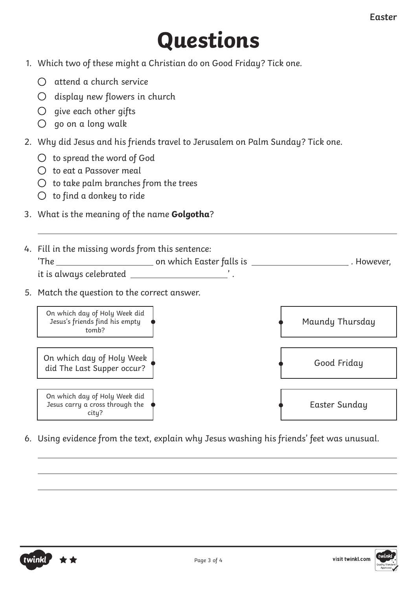# **Questions**

- 1. Which two of these might a Christian do on Good Friday? Tick one.
	- $\bigcap$  attend a church service
	- $O$  display new flowers in church
	- $\bigcirc$  give each other gifts
	- $\bigcirc$  go on a long walk
- 2. Why did Jesus and his friends travel to Jerusalem on Palm Sunday? Tick one.
	- $\bigcirc$  to spread the word of God
	- $\bigcap$  to eat a Passover meal
	- $\bigcirc$  to take palm branches from the trees
	- $\bigcirc$  to find a donkey to ride
- 3. What is the meaning of the name **Golgotha**?
- 4. Fill in the missing words from this sentence: 'The on which Easter falls is . However, it is always celebrated ' .
- 5. Match the question to the correct answer.



6. Using evidence from the text, explain why Jesus washing his friends' feet was unusual.



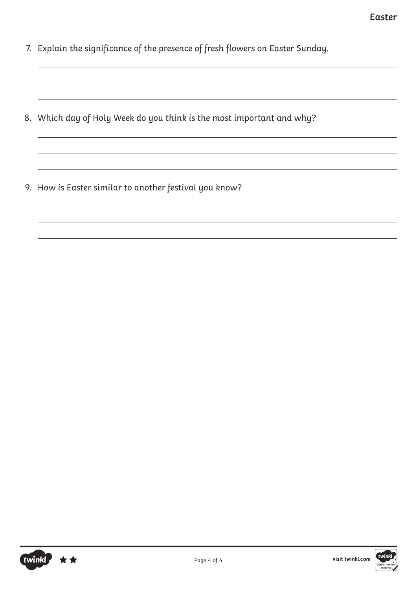- 7. Explain the significance of the presence of fresh flowers on Easter Sunday.
- 8. Which day of Holy Week do you think is the most important and why?
- 9. How is Easter similar to another festival you know?



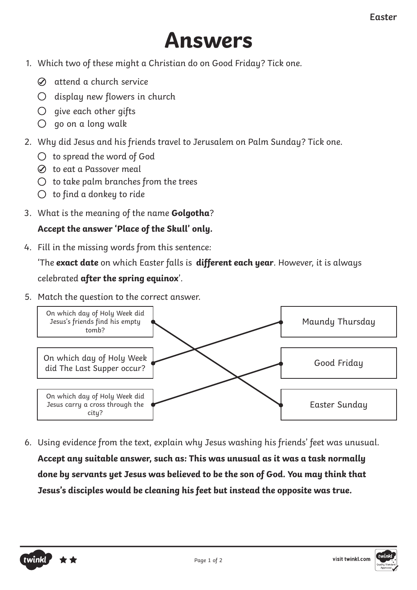## **Answers**

- 1. Which two of these might a Christian do on Good Friday? Tick one.
	- $\oslash$  attend a church service
	- $O$  display new flowers in church
	- $\bigcirc$  give each other gifts
	- $\bigcirc$  go on a long walk
- 2. Why did Jesus and his friends travel to Jerusalem on Palm Sunday? Tick one.
	- $\bigcirc$  to spread the word of God
	- $\oslash$  to eat a Passover meal
	- $\bigcirc$  to take palm branches from the trees
	- $\bigcirc$  to find a donkey to ride
- 3. What is the meaning of the name **Golgotha**?

#### **Accept the answer 'Place of the Skull' only.**

4. Fill in the missing words from this sentence:

'The **exact date** on which Easter falls is **different each year**. However, it is always celebrated **after the spring equinox**'.

5. Match the question to the correct answer.



6. Using evidence from the text, explain why Jesus washing his friends' feet was unusual. **Accept any suitable answer, such as: This was unusual as it was a task normally done by servants yet Jesus was believed to be the son of God. You may think that Jesus's disciples would be cleaning his feet but instead the opposite was true.**

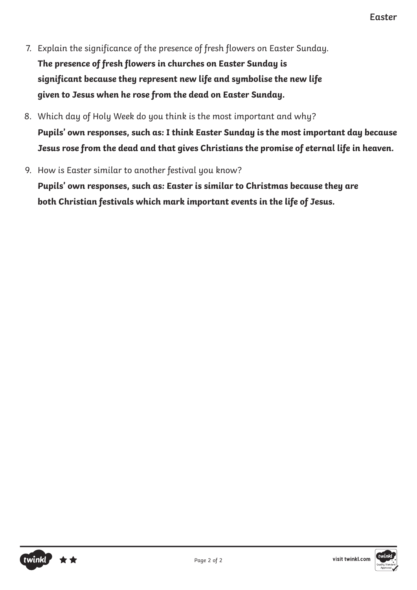- 7. Explain the significance of the presence of fresh flowers on Easter Sunday. **The presence of fresh flowers in churches on Easter Sunday is significant because they represent new life and symbolise the new life given to Jesus when he rose from the dead on Easter Sunday.**
- 8. Which day of Holy Week do you think is the most important and why? **Pupils' own responses, such as: I think Easter Sunday is the most important day because Jesus rose from the dead and that gives Christians the promise of eternal life in heaven.**
- 9. How is Easter similar to another festival you know?

**Pupils' own responses, such as: Easter is similar to Christmas because they are both Christian festivals which mark important events in the life of Jesus.** 

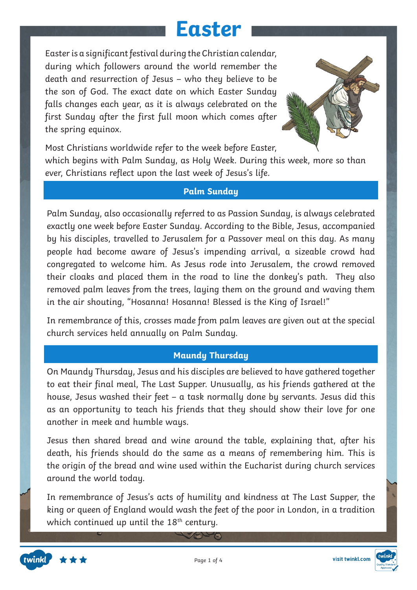Easter is a significant festival during the Christian calendar, during which followers around the world remember the death and resurrection of Jesus – who they believe to be the son of God. The exact date on which Easter Sunday falls changes each year, as it is always celebrated on the first Sunday after the first full moon which comes after the spring equinox.



Most Christians worldwide refer to the week before Easter,

which begins with Palm Sunday, as Holy Week. During this week, more so than ever, Christians reflect upon the last week of Jesus's life.

#### **Palm Sunday**

Palm Sunday, also occasionally referred to as Passion Sunday, is always celebrated exactly one week before Easter Sunday. According to the Bible, Jesus, accompanied by his disciples, travelled to Jerusalem for a Passover meal on this day. As many people had become aware of Jesus's impending arrival, a sizeable crowd had congregated to welcome him. As Jesus rode into Jerusalem, the crowd removed their cloaks and placed them in the road to line the donkey's path. They also removed palm leaves from the trees, laying them on the ground and waving them in the air shouting, "Hosanna! Hosanna! Blessed is the King of Israel!"

In remembrance of this, crosses made from palm leaves are given out at the special church services held annually on Palm Sunday.

#### **Maundy Thursday**

On Maundy Thursday, Jesus and his disciples are believed to have gathered together to eat their final meal, The Last Supper. Unusually, as his friends gathered at the house, Jesus washed their feet – a task normally done by servants. Jesus did this as an opportunity to teach his friends that they should show their love for one another in meek and humble ways.

Jesus then shared bread and wine around the table, explaining that, after his death, his friends should do the same as a means of remembering him. This is the origin of the bread and wine used within the Eucharist during church services around the world today.

In remembrance of Jesus's acts of humility and kindness at The Last Supper, the king or queen of England would wash the feet of the poor in London, in a tradition which continued up until the  $18<sup>th</sup>$  century.

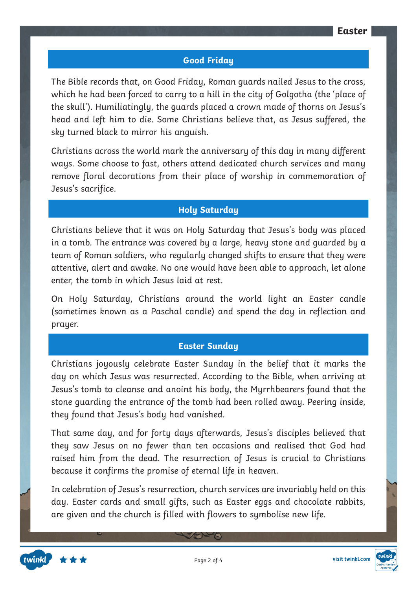#### **Good Friday**

The Bible records that, on Good Friday, Roman guards nailed Jesus to the cross, which he had been forced to carry to a hill in the city of Golgotha (the 'place of the skull'). Humiliatingly, the guards placed a crown made of thorns on Jesus's head and left him to die. Some Christians believe that, as Jesus suffered, the sky turned black to mirror his anguish.

Christians across the world mark the anniversary of this day in many different ways. Some choose to fast, others attend dedicated church services and many remove floral decorations from their place of worship in commemoration of Jesus's sacrifice.

#### **Holy Saturday**

Christians believe that it was on Holy Saturday that Jesus's body was placed in a tomb. The entrance was covered by a large, heavy stone and guarded by a team of Roman soldiers, who regularly changed shifts to ensure that they were attentive, alert and awake. No one would have been able to approach, let alone enter, the tomb in which Jesus laid at rest.

On Holy Saturday, Christians around the world light an Easter candle (sometimes known as a Paschal candle) and spend the day in reflection and prayer.

#### **Easter Sunday**

Christians joyously celebrate Easter Sunday in the belief that it marks the day on which Jesus was resurrected. According to the Bible, when arriving at Jesus's tomb to cleanse and anoint his body, the Myrrhbearers found that the stone guarding the entrance of the tomb had been rolled away. Peering inside, they found that Jesus's body had vanished.

That same day, and for forty days afterwards, Jesus's disciples believed that they saw Jesus on no fewer than ten occasions and realised that God had raised him from the dead. The resurrection of Jesus is crucial to Christians because it confirms the promise of eternal life in heaven.

In celebration of Jesus's resurrection, church services are invariably held on this day. Easter cards and small gifts, such as Easter eggs and chocolate rabbits, are given and the church is filled with flowers to symbolise new life.



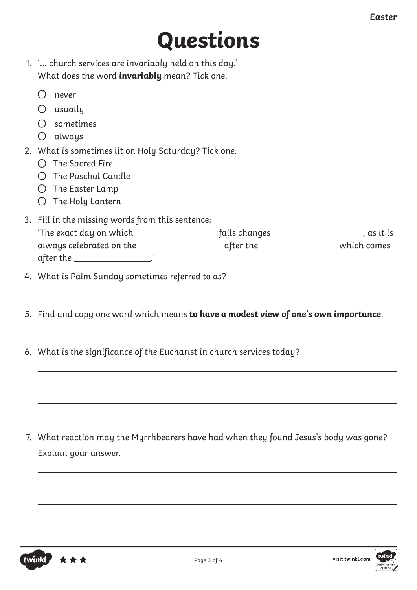# **Questions**

|                                                      | 1. '… church services are invariably held on this day.' |  |
|------------------------------------------------------|---------------------------------------------------------|--|
| What does the word <b>invariably</b> mean? Tick one. |                                                         |  |

- $O$  usually
- sometimes
- always
- 2. What is sometimes lit on Holy Saturday? Tick one.
	- $\bigcap$  The Sacred Fire
	- $\bigcap$  The Paschal Candle
	- $O$  The Easter Lamp
	- $O$  The Holy Lantern
- 3. Fill in the missing words from this sentence:

| 'The exact day on which  | falls changes | as it is    |
|--------------------------|---------------|-------------|
| always celebrated on the | after the     | which comes |
| after the                |               |             |

- 4. What is Palm Sunday sometimes referred to as?
- 5. Find and copy one word which means **to have a modest view of one's own importance**.
- 6. What is the significance of the Eucharist in church services today?

7. What reaction may the Myrrhbearers have had when they found Jesus's body was gone? Explain your answer.



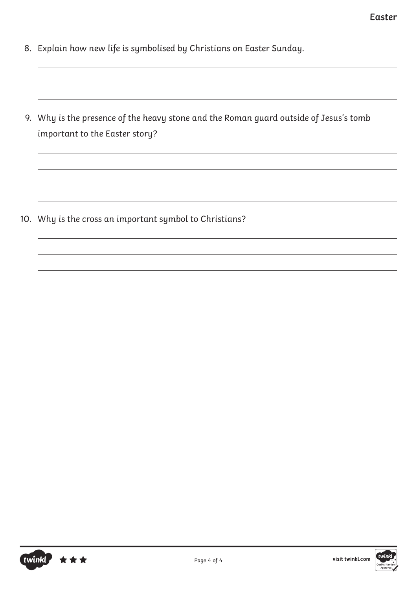- 8. Explain how new life is symbolised by Christians on Easter Sunday.
- 9. Why is the presence of the heavy stone and the Roman guard outside of Jesus's tomb important to the Easter story?

10. Why is the cross an important symbol to Christians?

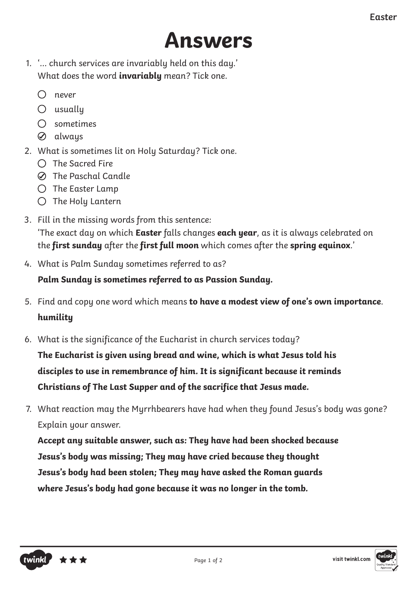## **Answers**

- 1. '… church services are invariably held on this day.' What does the word **invariably** mean? Tick one.
	- never
	- $O$  usually
	- sometimes
	- always
- 2. What is sometimes lit on Holy Saturday? Tick one.
	- $\bigcap$  The Sacred Fire
	- The Paschal Candle
	- $\bigcirc$  The Easter Lamp
	- $O$  The Holy Lantern
- 3. Fill in the missing words from this sentence: 'The exact day on which **Easter** falls changes **each year**, as it is always celebrated on the **first sunday** after the **first full moon** which comes after the **spring equinox**.'
- 4. What is Palm Sunday sometimes referred to as?

**Palm Sunday is sometimes referred to as Passion Sunday.**

- 5. Find and copy one word which means **to have a modest view of one's own importance**. **humility**
- 6. What is the significance of the Eucharist in church services today?

**The Eucharist is given using bread and wine, which is what Jesus told his disciples to use in remembrance of him. It is significant because it reminds Christians of The Last Supper and of the sacrifice that Jesus made.**

7. What reaction may the Myrrhbearers have had when they found Jesus's body was gone? Explain your answer.

**Accept any suitable answer, such as: They have had been shocked because Jesus's body was missing; They may have cried because they thought Jesus's body had been stolen; They may have asked the Roman guards where Jesus's body had gone because it was no longer in the tomb.**



visit twinkl.com